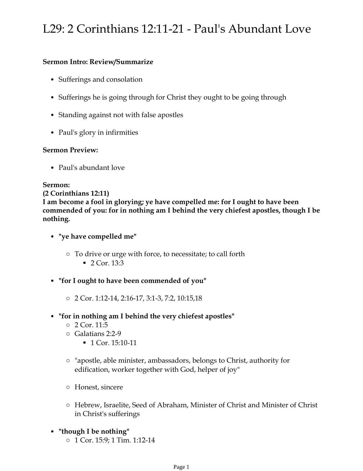# L29: 2 Corinthians 12:11-21 - Paul's Abundant Love

# **Sermon Intro: Review/Summarize**

- Sufferings and consolation
- Sufferings he is going through for Christ they ought to be going through
- Standing against not with false apostles
- Paul's glory in infirmities

## **Sermon Preview:**

• Paul's abundant love

### **Sermon:**

#### **(2 Corinthians 12:11)**

**I am become a fool in glorying; ye have compelled me: for I ought to have been commended of you: for in nothing am I behind the very chiefest apostles, though I be nothing.**

## • **"ye have compelled me"**

 $\blacksquare$  2 Cor. 13:3 ○ To drive or urge with force, to necessitate; to call forth

### • **"for I ought to have been commended of you"**

○ 2 Cor. 1:12-14, 2:16-17, 3:1-3, 7:2, 10:15,18

### • **"for in nothing am I behind the very chiefest apostles"**

- 2 Cor. 11:5
- Galatians 2:2-9
	- 1 Cor. 15:10-11
- "apostle, able minister, ambassadors, belongs to Christ, authority for edification, worker together with God, helper of joy"
- Honest, sincere
- Hebrew, Israelite, Seed of Abraham, Minister of Christ and Minister of Christ in Christ's sufferings
- **"though I be nothing"**
	- 1 Cor. 15:9; 1 Tim. 1:12-14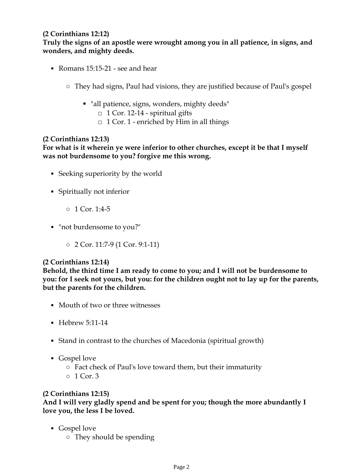# **(2 Corinthians 12:12)**

**Truly the signs of an apostle were wrought among you in all patience, in signs, and wonders, and mighty deeds.**

- Romans 15:15-21 see and hear
	- They had signs, Paul had visions, they are justified because of Paul's gospel
		- "all patience, signs, wonders, mighty deeds"
			- $\Box$  1 Cor. 12-14 spiritual gifts
			- $\Box$  1 Cor. 1 enriched by Him in all things

# **(2 Corinthians 12:13)**

# **For what is it wherein ye were inferior to other churches, except it be that I myself was not burdensome to you? forgive me this wrong.**

- Seeking superiority by the world
- Spiritually not inferior
	- 1 Cor. 1:4-5
- "not burdensome to you?"
	- 2 Cor. 11:7-9 (1 Cor. 9:1-11)

### **(2 Corinthians 12:14)**

**Behold, the third time I am ready to come to you; and I will not be burdensome to you: for I seek not yours, but you: for the children ought not to lay up for the parents, but the parents for the children.**

- Mouth of two or three witnesses
- Hebrew 5:11-14
- Stand in contrast to the churches of Macedonia (spiritual growth)
- Gospel love
	- Fact check of Paul's love toward them, but their immaturity
	- 1 Cor. 3

### **(2 Corinthians 12:15)**

**And I will very gladly spend and be spent for you; though the more abundantly I love you, the less I be loved.**

- Gospel love
	- They should be spending